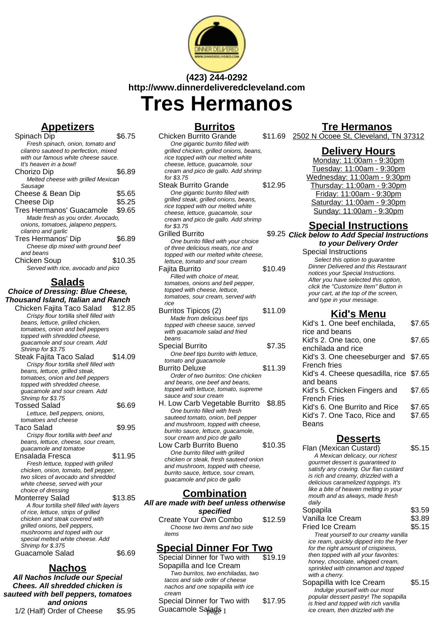

# **(423) 244-0292 http://www.dinnerdeliveredcleveland.com**

**Tres Hermanos**

## **Appetizers**

Spinach Dip \$6.75 Fresh spinach, onion, tomato and cilantro sauteed to perfection, mixed with our famous white cheese sauce. It's heaven in a bowl! Chorizo Dip \$6.89 Melted cheese with grilled Mexican Sausage Cheese & Bean Dip \$5.65<br>Cheese Din \$5.25 Cheese Dip \$5.25<br>Tres Hermanos' Guacamole \$9.65 Tres Hermanos' Guacamole Made fresh as you order. Avocado, onions, tomatoes, jalapeno peppers, cilantro and garlic Tres Hermanos' Dip \$6.89 Cheese dip mixed with ground beef and beans Chicken Soup \$10.35 Served with rice, avocado and pico

## **Salads**

### **Choice of Dressing: Blue Cheese, Thousand Island, Italian and Ranch**

- Chicken Fajita Taco Salad \$12.85 Crispy flour tortilla shell filled with beans, lettuce, grilled chicken, tomatoes, onion and bell peppers topped with shredded cheese, guacamole and sour cream. Add Shrimp for \$3.75
- Steak Fajita Taco Salad \$14.09 Crispy flour tortilla shell filled with beans, lettuce, grilled steak, tomatoes, onion and bell peppers topped with shredded cheese, guacamole and sour cream. Add Shrimp for \$3.75 Tossed Salad \$6.69 Lettuce, bell peppers, onions, tomatoes and cheese Taco Salad \$9.95 Crispy flour tortilla with beef and beans, lettuce, cheese, sour cream, guacamole and tomatoe Ensalada Fresca \$11.95 Fresh lettuce, topped with grilled chicken, onion, tomato, bell pepper, two slices of avocado and shredded white cheese, served with your choice of dressing Monterrey Salad \$13.85 A flour tortilla shell filled with layers of rice, lettuce, strips of grilled chicken and steak covered with
- grilled onions, bell peppers, mushrooms and toped with our special melted white cheese. Add Shrimp for \$.375 Guacamole Salad \$6.69

## **Nachos**

**All Nachos Include our Special Chees. All shredded chicken is sauteed with bell peppers, tomatoes and onions** 1/2 (Half) Order of Cheese \$5.95

### **Burritos**

- Chicken Burrito Grande \$11.69 One gigantic burrito filled with grilled chicken, grilled onions, beans, rice topped with our melted white cheese, lettuce, guacamole, sour cream and pico de gallo. Add shrimp for \$3.75 Steak Burrito Grande \$12.95 One gigantic burrito filled with grilled steak, grilled onions, beans, rice topped with our melted white cheese, lettuce, guacamole, sour cream and pico de gallo. Add shrimp for \$3.75 **Grilled Burrito** One burrito filled with your choice of three delicious meats, rice and topped with our melted white cheese, lettuce, tomato and sour cream Fajita Burrito  $$10.49$ Filled with choice of meat, tomatoes, onions and bell pepper, topped with cheese, lettuce, tomatoes, sour cream, served with rice Burritos Tipicos (2) \$11.09 Made from delicious beef tips topped with cheese sauce, served with quacamole salad and fried beans Special Burrito  $$7.35$ One beef tips burrito with lettuce, tomato and guacamole Burrito Deluxe \$11.39 Order of two burritos: One chicken and beans, one beef and beans, topped with lettuce, tomato, supreme sauce and sour cream H. Low Carb Vegetable Burrito \$8.85 One burrito filled with fresh sauteed tomato, onion, bell pepper and mushroom, topped with cheese, burrito sauce, lettuce, guacamole, sour cream and pico de gallo Low Carb Burrito Bueno \$10.35
- One burrito filled with grilled chicken or steak, fresh sauteed onion and mushroom, topped with cheese, burrito sauce, lettuce, sour cream, guacamole and pico de gallo

### **Combination**

**All are made with beef unless otherwise specified**

Create Your Own Combo \$12.59 Choose two items and two side items

## **Special Dinner For Two**

Special Dinner for Two with Sopapilla and Ice Cream \$19.19 Two burritos, two enchiladas, two tacos and side order of cheese nachos and one sopapilla with ice cream Special Dinner for Two with Guacamole Salads 1 \$17.95

### **Tre Hermanos**

2502 N Ocoee St, Cleveland, TN 37312

### **Delivery Hours**

Monday: 11:00am - 9:30pm Tuesday: 11:00am - 9:30pm Wednesday: 11:00am - 9:30pm Thursday: 11:00am - 9:30pm Friday: 11:00am - 9:30pm Saturday: 11:00am - 9:30pm Sunday: 11:00am - 9:30pm

## **Special Instructions**

#### \$9.25 Click below to Add Special Instructions **to your Delivery Order**

Special Instructions Select this option to quarantee Dinner Delivered and this Restaurant notices your Special Instructions. After you have selected this option, click the "Customize Item" Button in your cart, at the top of the screen, and type in your message.

### **Kid's Menu**

| Kid's 1. One beef enchilada,            | \$7.65 |
|-----------------------------------------|--------|
| rice and beans                          |        |
| Kid's 2. One taco, one                  | \$7.65 |
| enchilada and rice                      |        |
| Kid's 3. One cheeseburger and \$7.65    |        |
| French fries                            |        |
| Kid's 4. Cheese quesadilla, rice \$7.65 |        |
| and beans                               |        |
| Kid's 5. Chicken Fingers and            | \$7.65 |
| <b>French Fries</b>                     |        |
| Kid's 6. One Burrito and Rice           | \$7.65 |
| Kid's 7. One Taco, Rice and             | \$7.65 |
| Beans                                   |        |
|                                         |        |

## **Desserts**

Flan (Mexican Custard) \$5.15 A Mexican delicacy, our richest gourmet dessert is guaranteed to satisfy any craving. Our flan custard is rich and creamy, drizzled with a delicious caramelized toppings. It's like a bite of heaven melting in your mouth and as always, made fresh daily Sopapila  $$3.59$ Vanilla Ice Cream \$3.89 Fried Ice Cream \$5.15 Treat yourself to our creamy vanilla ice ream, quickly dipped into the fryer for the right amount of crispiness, then topped with all your favorites: honey, chocolate, whipped cream, sprinkled with cinnamon and topped with a cherry. Sopapilla with Ice Cream \$5.15 Indulge yourself with our most popular dessert pastry! The sopapilla is fried and topped with rich vanilla ice cream, then drizzled with the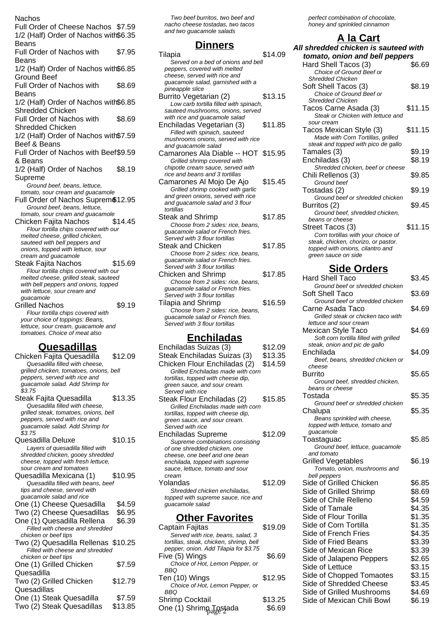| Nachos                                                                 |         |
|------------------------------------------------------------------------|---------|
| Full Order of Cheese Nachos \$7.59                                     |         |
| 1/2 (Half) Order of Nachos with\$6.35                                  |         |
| <b>Beans</b>                                                           |         |
| <b>Full Order of Nachos with</b>                                       | \$7.95  |
| Beans                                                                  |         |
| 1/2 (Half) Order of Nachos with\$6.85                                  |         |
| <b>Ground Beef</b>                                                     |         |
| Full Order of Nachos with                                              | \$8.69  |
|                                                                        |         |
| Beans                                                                  |         |
| 1/2 (Half) Order of Nachos with\$6.85                                  |         |
| <b>Shredded Chicken</b>                                                |         |
| <b>Full Order of Nachos with</b>                                       | \$8.69  |
| <b>Shredded Chicken</b>                                                |         |
| 1/2 (Half) Order of Nachos with \$7.59                                 |         |
| Beef & Beans                                                           |         |
|                                                                        |         |
| Full Order of Nachos with Beef\$9.59                                   |         |
| & Beans                                                                |         |
| 1/2 (Half) Order of Nachos                                             | \$8.19  |
| Supreme                                                                |         |
| Ground beef, beans, lettuce,                                           |         |
| tomato, sour cream and guacamole                                       |         |
| Full Order of Nachos Suprem \$12.95                                    |         |
| Ground beef, beans, lettuce,                                           |         |
| tomato, sour cream and guacamole                                       |         |
| Chicken Fajita Nachos                                                  | \$14.45 |
| Flour tortilla chips covered with our                                  |         |
| melted cheese, grilled chicken,                                        |         |
| sauteed with bell peppers and                                          |         |
| onions, topped with lettuce, sour                                      |         |
| cream and guacamole                                                    |         |
| Steak Fajita Nachos                                                    | \$15.69 |
| Flour tortilla chips covered with our                                  |         |
| melted cheese, grilled steak, sauteed                                  |         |
| with bell peppers and onions, topped                                   |         |
| with lettuce, sour cream and<br>guacamole                              |         |
| <b>Grilled Nachos</b>                                                  | \$9.19  |
| Flour tortilla chips covered with                                      |         |
| your choice of toppings: Beans,                                        |         |
| lettuce, sour cream, guacamole and                                     |         |
| tomatoes. Choice of meat also                                          |         |
|                                                                        |         |
| <u>Quesadillas</u>                                                     |         |
| Chicken Fajita Quesadilla                                              | \$12.09 |
| Quesadilla filled with cheese,                                         |         |
| grilled chicken, tomatoes, onions, bell                                |         |
| peppers, served with rice and                                          |         |
| guacamole salad. Add Shrimp for                                        |         |
| \$3.75                                                                 |         |
| Steak Fajita Quesadilla                                                | \$13.35 |
| Quesadilla filled with cheese,                                         |         |
| grilled steak, tomatoes, onions, bell                                  |         |
| peppers, served with rice and                                          |         |
| guacamole salad. Add Shrimp for                                        |         |
| \$3.75                                                                 |         |
| Quesadilla Deluxe                                                      | \$10.15 |
| Layers of quesadilla filled with                                       |         |
|                                                                        |         |
| shredded chicken, gooey shredded<br>cheese, topped with fresh lettuce, |         |

| cheese, topped with fresh lettuce,  |         |
|-------------------------------------|---------|
| sour cream and tomatoes             |         |
| Quesadilla Mexicana (1)             | \$10.95 |
| Quesadilla filled with beans, beef  |         |
| tips and cheese, served with        |         |
| guacamole salad and rice            |         |
| One (1) Cheese Quesadilla           | \$4.59  |
| Two (2) Cheese Quesadillas          | \$6.95  |
| One (1) Quesadilla Rellena          | \$6.39  |
| Filled with cheese and shredded     |         |
| chicken or beef tips                |         |
| Two (2) Quesadilla Rellenas \$10.25 |         |
| Filled with cheese and shredded     |         |
| chicken or beef tips                |         |
| One (1) Grilled Chicken             | \$7.59  |
| Quesadilla                          |         |
| Two (2) Grilled Chicken             | \$12.79 |
| Quesadillas                         |         |
| One (1) Steak Quesadilla            | \$7.59  |
| Two (2) Steak Quesadillas           | \$13.85 |
|                                     |         |

Two beef burritos, two beef and nacho cheese tostadas, two tacos and two guacamole salads

### **Dinners**

| Tilapia                                | \$14.09 |
|----------------------------------------|---------|
| Served on a bed of onions and bell     |         |
| peppers, covered with melted           |         |
| cheese, served with rice and           |         |
| guacamole salad, garnished with a      |         |
| pineapple slice                        |         |
| Burrito Vegetarian (2)                 | \$13.15 |
| Low carb tortilla filled with spinach, |         |
| sauteed mushrooms, onions, served      |         |
| with rice and guacamole salad          |         |
| Enchiladas Vegetarian (3)              | \$11.85 |
| Filled with spinach, sauteed           |         |
| mushrooms onions, served with rice     |         |
| and quacamole salad                    |         |
| Camarones Ala Diable -- HOT \$15.95    |         |
| Grilled shrimp covered with            |         |
| chipotle cream sauce, served with      |         |
| rice and beans and 3 tortillas         |         |
| Camarones Al Mojo De Ajo               | \$15.45 |
| Grilled shrimp cooked with garlic      |         |
| and green onions, served with rice     |         |
| and guacamole salad and 3 flour        |         |
| tortillas                              |         |
| Steak and Shrimp                       | \$17.85 |
| Choose from 2 sides: rice, beans,      |         |
| guacamole salad or French fries.       |         |
| Served with 3 flour tortillas          |         |
| Steak and Chicken                      | \$17.85 |
| Choose from 2 sides: rice, beans,      |         |
| guacamole salad or French fries.       |         |
| Served with 3 flour tortillas          |         |
| <b>Chicken and Shrimp</b>              | \$17.85 |
| Choose from 2 sides: rice, beans,      |         |
| quacamole salad or French fries.       |         |
| Served with 3 flour tortillas          |         |
| Tilapia and Shrimp                     | \$16.59 |
| Choose from 2 sides: rice, beans,      |         |
| guacamole salad or French fries.       |         |
| Served with 3 flour tortillas          |         |
|                                        |         |
|                                        |         |

### **Enchiladas**

| Enchiladas Suizas (3)               | \$12.09 |
|-------------------------------------|---------|
| Steak Enchiladas Suizas (3)         | \$13.35 |
| Chicken Flour Enchiladas (2)        | \$14.59 |
| Grilled Enchiladas made with corn   |         |
| tortillas, topped with cheese dip,  |         |
| green sauce, and sour cream.        |         |
| Served with rice                    |         |
| Steak Flour Enchiladas (2)          | \$15.85 |
| Grilled Enchiladas made with corn   |         |
| tortillas, topped with cheese dip,  |         |
| green sauce, and sour cream.        |         |
| Served with rice                    |         |
| Enchiladas Supreme                  | \$12.09 |
| Supreme combinations consisting     |         |
| of one shredded chicken, one        |         |
| cheese, one beef and one bean       |         |
| enchilada, topped with supreme      |         |
| sauce, lettuce, tomato and sour     |         |
| cream                               |         |
| Yolandas                            | \$12.09 |
| Shredded chicken enchiladas.        |         |
| topped with supreme sauce, rice and |         |
| guacamole salad                     |         |
| <b>Other Favorites</b>              |         |
|                                     |         |

| \$19.09 |
|---------|
|         |
|         |
|         |
| \$6.69  |
|         |
|         |
| \$12.95 |
|         |
|         |
| \$13.25 |
| \$6.69  |
|         |

perfect combination of chocolate, honey and sprinkled cinnamon

| A la <u>Cart</u>                                                          |         |
|---------------------------------------------------------------------------|---------|
| All shredded chicken is sauteed with                                      |         |
| tomato, onion and bell peppers                                            |         |
| Hard Shell Tacos (3)                                                      | \$6.69  |
| Choice of Ground Beef or                                                  |         |
| <b>Shredded Chicken</b>                                                   |         |
| Soft Shell Tacos (3)                                                      | \$8.19  |
| Choice of Ground Beef or                                                  |         |
| <b>Shredded Chicken</b>                                                   |         |
| Tacos Carne Asada (3)                                                     | \$11.15 |
| Steak or Chicken with lettuce and                                         |         |
| sour cream                                                                |         |
| Tacos Mexican Style (3)                                                   | \$11.15 |
| Made with Corn Tortillas, grilled                                         |         |
| steak and topped with pico de gallo                                       |         |
| Tamales (3)                                                               | \$9.19  |
| Enchiladas (3)                                                            | \$8.19  |
| Shredded chicken, beef or cheese                                          |         |
| Chili Rellenos (3)                                                        | \$9.85  |
| Ground beef                                                               |         |
| Tostadas (2)                                                              | \$9.19  |
| Ground beef or shredded chicken                                           |         |
| Burritos (2)                                                              | \$9.45  |
| Ground beef, shredded chicken,                                            |         |
| beans or cheese                                                           | \$11.15 |
| Street Tacos (3)                                                          |         |
| Corn tortillas with your choice of<br>steak, chicken, chorizo, or pastor. |         |
| topped with onions, cilantro and                                          |         |
| green sauce on side                                                       |         |

### **Side Orders**

| <b>Hard Shell Taco</b>                                          | \$3.45 |
|-----------------------------------------------------------------|--------|
| Ground beef or shredded chicken                                 |        |
| <b>Soft Shell Taco</b>                                          | \$3.69 |
| Ground beef or shredded chicken                                 |        |
| Carne Asada Taco                                                | \$4.69 |
| Grilled steak or chicken taco with<br>lettuce and sour cream    |        |
| Mexican Style Taco                                              | \$4.69 |
| Soft corn tortilla filled with grilled                          |        |
| steak, onion and pic de gallo                                   |        |
| Enchilada                                                       | \$4.09 |
| Beef, beans, shredded chicken or                                |        |
| cheese                                                          |        |
| <b>Burrito</b>                                                  | \$5.65 |
| Ground beef, shredded chicken,                                  |        |
| beans or cheese                                                 |        |
| Tostada                                                         | \$5.35 |
| Ground beef or shredded chicken                                 |        |
| Chalupa                                                         | \$5.35 |
| Beans sprinkled with cheese,<br>topped with lettuce, tomato and |        |
| guacamole                                                       |        |
| Toastaguac                                                      | \$5.85 |
| Ground beef, lettuce, guacamole                                 |        |
| and tomato                                                      |        |
| <b>Grilled Vegetables</b>                                       | \$6.19 |
| Tomato, onion, mushrooms and                                    |        |
| bell peppers                                                    |        |
| Side of Grilled Chicken                                         | \$6.85 |
| Side of Grilled Shrimp                                          | \$8.69 |
| Side of Chile Relleno                                           | \$4.59 |
| Side of Tamale                                                  | \$4.35 |
| Side of Flour Torilla                                           | \$1.35 |
| Side of Corn Tortilla                                           | \$1.35 |
| Side of French Fries                                            | \$4.35 |
| Side of Fried Beans                                             | \$3.39 |
| Side of Mexican Rice                                            | \$3.39 |
| Side of Jalapeno Peppers                                        | \$2.65 |
| Side of Lettuce                                                 | \$3.15 |
| Side of Chopped Tomaotes                                        | \$3.15 |
| Side of Shredded Cheese                                         | \$3.45 |
| Side of Grilled Mushrooms                                       | \$4.69 |
|                                                                 |        |
| Side of Mexican Chili Bowl                                      | \$6.19 |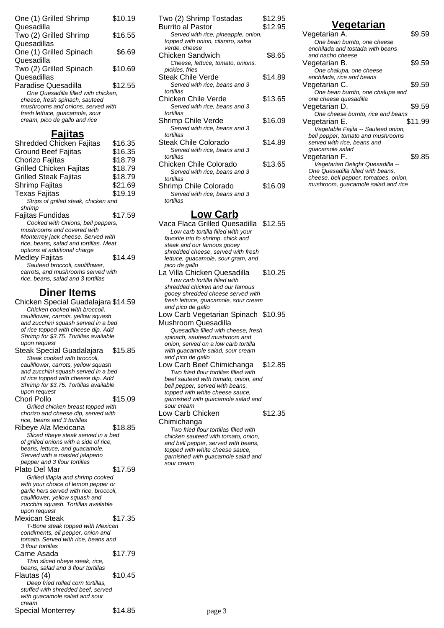| One (1) Grilled Shrimp                                              | \$10.19 |
|---------------------------------------------------------------------|---------|
| Quesadilla                                                          |         |
| Two (2) Grilled Shrimp                                              | \$16.55 |
| Quesadillas                                                         |         |
| One (1) Grilled Spinach                                             | \$6.69  |
| Quesadilla                                                          |         |
| Two (2) Grilled Spinach                                             | \$10.69 |
| Quesadillas                                                         |         |
| Paradise Quesadilla                                                 | \$12.55 |
| One Quesadilla filled with chicken.                                 |         |
| cheese, fresh spinach, sauteed                                      |         |
| mushrooms and onions, served with<br>fresh lettuce, guacamole, sour |         |
| cream, pico de gallo and rice                                       |         |
|                                                                     |         |
|                                                                     |         |

## **Fajitas**

| Shredded Chicken Fajitas               | \$16.35 |
|----------------------------------------|---------|
| Ground Beef Fajitas                    | \$16.35 |
| Chorizo Fajitas                        | \$18.79 |
| <b>Grilled Chicken Fajitas</b>         | \$18.79 |
| <b>Grilled Steak Fajitas</b>           | \$18.79 |
| Shrimp Fajitas                         | \$21.69 |
| Texas Fajitas                          | \$19.19 |
| Strips of grilled steak, chicken and   |         |
| shrimp                                 |         |
| Fajitas Fundidas                       | \$17.59 |
| Cooked with Onions, bell peppers,      |         |
| mushrooms and covered with             |         |
| Monterrey jack cheese. Served with     |         |
| rice, beans, salad and tortillas. Meat |         |
| options at additional charge           |         |
| Medley Fajitas                         | \$14.49 |
| Sauteed broccoli, cauliflower,         |         |
| carrots, and mushrooms served with     |         |
| rice, beans, salad and 3 tortillas     |         |

# **Diner Items**

| Chicken Special Guadalajara \$14.59     |         |
|-----------------------------------------|---------|
| Chicken cooked with broccoli,           |         |
| cauliflower, carrots, yellow squash     |         |
| and zucchini squash served in a bed     |         |
| of rice topped with cheese dip. Add     |         |
| Shrimp for \$3.75. Tortillas available  |         |
| upon request                            |         |
| Steak Special Guadalajara               | \$15.85 |
| Steak cooked with broccoli,             |         |
| cauliflower, carrots, yellow squash     |         |
| and zucchini squash served in a bed     |         |
| of rice topped with cheese dip. Add     |         |
| Shrimp for \$3.75. Tortillas available  |         |
| upon request                            |         |
| Chori Pollo                             | \$15.09 |
| Grilled chicken breast topped with      |         |
| chorizo and cheese dip, served with     |         |
| rice, beans and 3 tortillas             |         |
| Ribeye Ala Mexicana                     | \$18.85 |
| Sliced ribeye steak served in a bed     |         |
| of grilled onions with a side of rice.  |         |
| beans, lettuce, and guacamole.          |         |
| Served with a roasted jalapeno          |         |
| pepper and 3 flour tortillas            |         |
| Plato Del Mar                           | \$17.59 |
| Grilled tilapia and shrimp cooked       |         |
| with your choice of lemon pepper or     |         |
| garlic hers served with rice, broccoli, |         |
| cauliflower, yellow squash and          |         |
| zucchini squash. Tortillas available    |         |
| upon request                            |         |
| Mexican Steak                           | \$17.35 |
| T-Bone steak topped with Mexican        |         |
| condiments, ell pepper, onion and       |         |
| tomato. Served with rice, beans and     |         |
| 3 flour tortillas                       |         |
| Carne Asada                             | \$17.79 |
| Thin sliced ribeye steak, rice,         |         |
| beans, salad and 3 flour tortillas      |         |
| Flautas (4)                             | \$10.45 |
| Deep fried rolled corn tortillas,       |         |
| stuffed with shredded beef, served      |         |
| with guacamole salad and sour           |         |
| cream                                   |         |
|                                         |         |

Special Monterrey \$14.85

| Two (2) Shrimp Tostadas             | \$12.95 |
|-------------------------------------|---------|
| Burrito al Pastor                   | \$12.95 |
| Served with rice, pineapple, onion, |         |
| topped with onion, cilantro, salsa  |         |
| verde, cheese                       |         |
| Chicken Sandwich                    | \$8.65  |
| Cheese, lettuce, tomato, onions,    |         |
| pickles, fries                      |         |
| <b>Steak Chile Verde</b>            | \$14.89 |
| Served with rice, beans and 3       |         |
| tortillas                           |         |
| Chicken Chile Verde                 | \$13.65 |
| Served with rice, beans and 3       |         |
| tortillas                           |         |
| Shrimp Chile Verde                  | \$16.09 |
| Served with rice, beans and 3       |         |
| tortillas                           |         |
| Steak Chile Colorado                | \$14.89 |
| Served with rice, beans and 3       |         |
| tortillas                           |         |
| Chicken Chile Colorado              | \$13.65 |
| Served with rice, beans and 3       |         |
| tortillas                           |         |

Shrimp Chile Colorado \$16.09 Served with rice, beans and 3 tortillas

### **Low Carb**

| Vaca Flaca Grilled Quesadilla \\$12.55 |         |
|----------------------------------------|---------|
| Low carb tortilla filled with your     |         |
| favorite trio fo shrimp, chick and     |         |
| steak and our famous gooey             |         |
| shredded cheese, served with fresh     |         |
| lettuce, guacamole, sour gram, and     |         |
| pico de gallo                          |         |
| La Villa Chicken Quesadilla            | \$10.25 |
| Low carb tortilla filled with          |         |
| shredded chicken and our famous        |         |
| gooey shredded cheese served with      |         |
| fresh lettuce, guacamole, sour cream   |         |
| and pico de gallo                      |         |
| Low Carb Vegetarian Spinach \$10.95    |         |
| Mushroom Quesadilla                    |         |
| Quesadilla filled with cheese, fresh   |         |
| spinach, sauteed mushroom and          |         |
| onion, served on a low carb tortilla   |         |
| with guacamole salad, sour cream       |         |
| and pico de gallo                      |         |
| Low Carb Beef Chimichanga              | \$12.85 |
| Two fried flour tortillas filled with  |         |
| beef sauteed with tomato, onion, and   |         |
| bell pepper, served with beans,        |         |
| topped with white cheese sauce,        |         |
| garnished with guacamole salad and     |         |
| sour cream                             |         |
| Low Carb Chicken                       | \$12.35 |
| Chimichanga                            |         |
| Two fried flour tortillas filled with  |         |
| chicken sauteed with tomato, onion,    |         |
| and bell pepper, served with beans,    |         |

topped with white cheese sauce, garnished with guacamole salad and

sour cream

## **Vegetarian**

| One bean burrito, one cheese<br>enchilada and tostada with beans<br>and nacho cheese<br>\$9.59<br>Vegetarian B.<br>One chalupa, one cheese<br>enchilada, rice and beans<br>\$9.59<br>Vegetarian C. |  |
|----------------------------------------------------------------------------------------------------------------------------------------------------------------------------------------------------|--|
|                                                                                                                                                                                                    |  |
|                                                                                                                                                                                                    |  |
|                                                                                                                                                                                                    |  |
|                                                                                                                                                                                                    |  |
|                                                                                                                                                                                                    |  |
|                                                                                                                                                                                                    |  |
|                                                                                                                                                                                                    |  |
| One bean burrito, one chalupa and                                                                                                                                                                  |  |
| one cheese quesadilla                                                                                                                                                                              |  |
| \$9.59<br>Vegetarian D.                                                                                                                                                                            |  |
| One cheese burrito, rice and beans                                                                                                                                                                 |  |
| \$11.99<br>Vegetarian E.                                                                                                                                                                           |  |
| Vegetable Fajita -- Sauteed onion,                                                                                                                                                                 |  |
| bell pepper, tomato and mushrooms                                                                                                                                                                  |  |
| served with rice, beans and                                                                                                                                                                        |  |
| guacamole salad                                                                                                                                                                                    |  |
| Vegetarian F.<br>\$9.85                                                                                                                                                                            |  |
| Vegetarian Delight Quesadilla --                                                                                                                                                                   |  |
| One Quesadilla filled with beans,                                                                                                                                                                  |  |
| cheese, bell pepper, tomatoes, onion,                                                                                                                                                              |  |
| mushroom, guacamole salad and rice                                                                                                                                                                 |  |